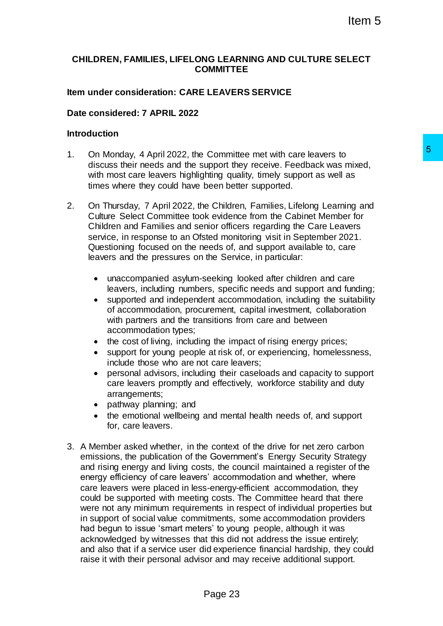# **CHILDREN, FAMILIES, LIFELONG LEARNING AND CULTURE SELECT COMMITTEE**

### **Item under consideration: CARE LEAVERS SERVICE**

### **Date considered: 7 APRIL 2022**

#### **Introduction**

- 1. On Monday, 4 April 2022, the Committee met with care leavers to discuss their needs and the support they receive. Feedback was mixed, with most care leavers highlighting quality, timely support as well as times where they could have been better supported.
- 2. On Thursday, 7 April 2022, the Children, Families, Lifelong Learning and Culture Select Committee took evidence from the Cabinet Member for Children and Families and senior officers regarding the Care Leavers service, in response to an Ofsted monitoring visit in September 2021. Questioning focused on the needs of, and support available to, care leavers and the pressures on the Service, in particular:
	- unaccompanied asylum-seeking looked after children and care leavers, including numbers, specific needs and support and funding;
	- supported and independent accommodation, including the suitability of accommodation, procurement, capital investment, collaboration with partners and the transitions from care and between accommodation types;
	- the cost of living, including the impact of rising energy prices;
	- support for young people at risk of, or experiencing, homelessness, include those who are not care leavers;
	- personal advisors, including their caseloads and capacity to support care leavers promptly and effectively, workforce stability and duty arrangements;
	- pathway planning; and
	- the emotional wellbeing and mental health needs of, and support for, care leavers.
- 3. A Member asked whether, in the context of the drive for net zero carbon emissions, the publication of the Government's Energy Security Strategy and rising energy and living costs, the council maintained a register of the energy efficiency of care leavers' accommodation and whether, where care leavers were placed in less-energy-efficient accommodation, they could be supported with meeting costs. The Committee heard that there were not any minimum requirements in respect of individual properties but in support of social value commitments, some accommodation providers had begun to issue 'smart meters' to young people, although it was acknowledged by witnesses that this did not address the issue entirely; and also that if a service user did experience financial hardship, they could raise it with their personal advisor and may receive additional support. Committee met with care leavers to 5<br>
upport they receive. Feedback was mixed,<br>
phitrig quality, timely support as well as<br>
been better supported.<br>
Echiclet errom the Cabinet Member for<br>
income chiclets (in the care Leaver